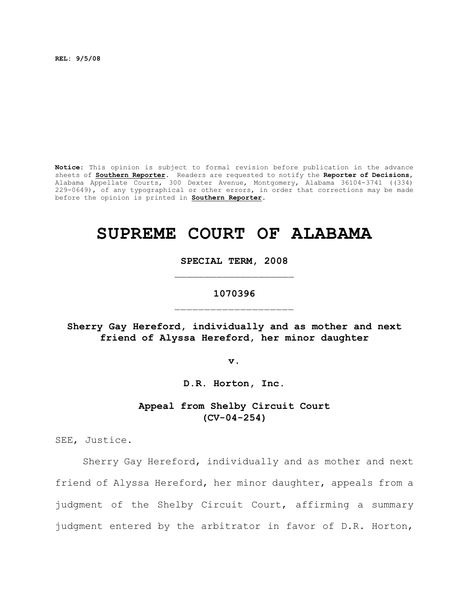**REL: 9/5/08**

**Notice**: This opinion is subject to formal revision before publication in the advance sheets of **Southern Reporter**. Readers are requested to notify the **Reporter of Decisions**, Alabama Appellate Courts, 300 Dexter Avenue, Montgomery, Alabama 36104-3741 ((334) 229-0649), of any typographical or other errors, in order that corrections may be made before the opinion is printed in **Southern Reporter**.

# **SUPREME COURT OF ALABAMA**

**SPECIAL TERM, 2008**

# **1070396**  $\mathcal{L}_\text{max}$

**Sherry Gay Hereford, individually and as mother and next friend of Alyssa Hereford, her minor daughter**

**v.**

**D.R. Horton, Inc.**

**Appeal from Shelby Circuit Court (CV-04-254)**

SEE, Justice.

Sherry Gay Hereford, individually and as mother and next friend of Alyssa Hereford, her minor daughter, appeals from a judgment of the Shelby Circuit Court, affirming a summary judgment entered by the arbitrator in favor of D.R. Horton,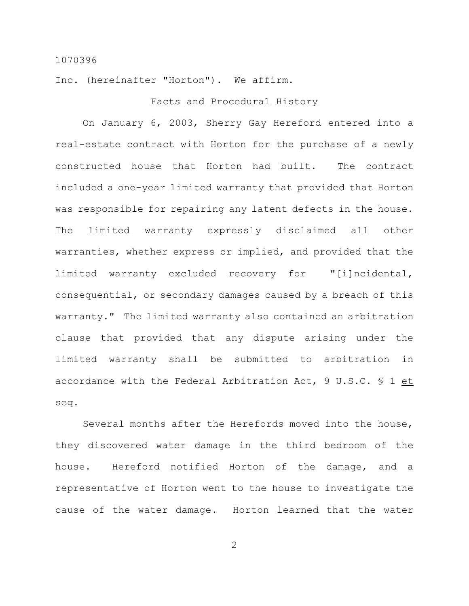Inc. (hereinafter "Horton"). We affirm.

#### Facts and Procedural History

On January 6, 2003, Sherry Gay Hereford entered into a real-estate contract with Horton for the purchase of a newly constructed house that Horton had built. The contract included a one-year limited warranty that provided that Horton was responsible for repairing any latent defects in the house. The limited warranty expressly disclaimed all other warranties, whether express or implied, and provided that the limited warranty excluded recovery for "[i]ncidental, consequential, or secondary damages caused by a breach of this warranty." The limited warranty also contained an arbitration clause that provided that any dispute arising under the limited warranty shall be submitted to arbitration in accordance with the Federal Arbitration Act, 9 U.S.C. § 1 et seq.

Several months after the Herefords moved into the house, they discovered water damage in the third bedroom of the house. Hereford notified Horton of the damage, and a representative of Horton went to the house to investigate the cause of the water damage. Horton learned that the water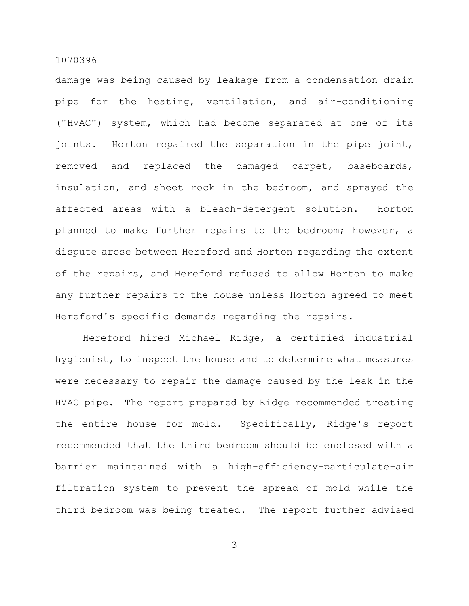damage was being caused by leakage from a condensation drain pipe for the heating, ventilation, and air-conditioning ("HVAC") system, which had become separated at one of its joints. Horton repaired the separation in the pipe joint, removed and replaced the damaged carpet, baseboards, insulation, and sheet rock in the bedroom, and sprayed the affected areas with a bleach-detergent solution. Horton planned to make further repairs to the bedroom; however, a dispute arose between Hereford and Horton regarding the extent of the repairs, and Hereford refused to allow Horton to make any further repairs to the house unless Horton agreed to meet Hereford's specific demands regarding the repairs.

Hereford hired Michael Ridge, a certified industrial hygienist, to inspect the house and to determine what measures were necessary to repair the damage caused by the leak in the HVAC pipe. The report prepared by Ridge recommended treating the entire house for mold. Specifically, Ridge's report recommended that the third bedroom should be enclosed with a barrier maintained with a high-efficiency-particulate-air filtration system to prevent the spread of mold while the third bedroom was being treated. The report further advised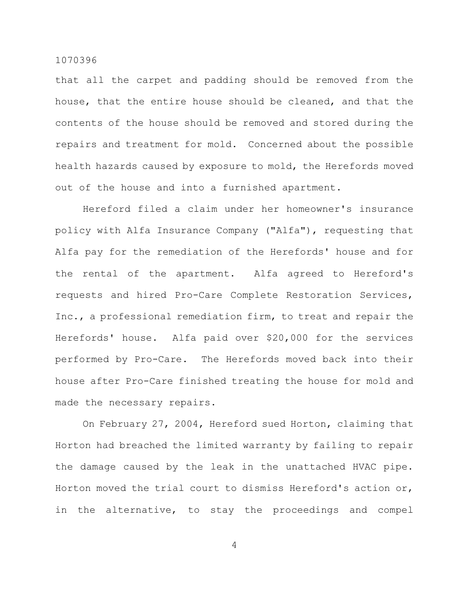that all the carpet and padding should be removed from the house, that the entire house should be cleaned, and that the contents of the house should be removed and stored during the repairs and treatment for mold. Concerned about the possible health hazards caused by exposure to mold, the Herefords moved out of the house and into a furnished apartment.

Hereford filed a claim under her homeowner's insurance policy with Alfa Insurance Company ("Alfa"), requesting that Alfa pay for the remediation of the Herefords' house and for the rental of the apartment. Alfa agreed to Hereford's requests and hired Pro-Care Complete Restoration Services, Inc., a professional remediation firm, to treat and repair the Herefords' house. Alfa paid over \$20,000 for the services performed by Pro-Care. The Herefords moved back into their house after Pro-Care finished treating the house for mold and made the necessary repairs.

On February 27, 2004, Hereford sued Horton, claiming that Horton had breached the limited warranty by failing to repair the damage caused by the leak in the unattached HVAC pipe. Horton moved the trial court to dismiss Hereford's action or, in the alternative, to stay the proceedings and compel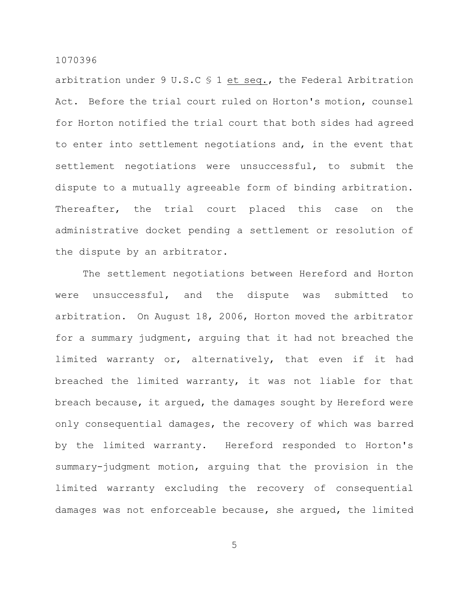arbitration under 9 U.S.C § 1 et seq., the Federal Arbitration Act. Before the trial court ruled on Horton's motion, counsel for Horton notified the trial court that both sides had agreed to enter into settlement negotiations and, in the event that settlement negotiations were unsuccessful, to submit the dispute to a mutually agreeable form of binding arbitration. Thereafter, the trial court placed this case on the administrative docket pending a settlement or resolution of the dispute by an arbitrator.

The settlement negotiations between Hereford and Horton were unsuccessful, and the dispute was submitted to arbitration. On August 18, 2006, Horton moved the arbitrator for a summary judgment, arguing that it had not breached the limited warranty or, alternatively, that even if it had breached the limited warranty, it was not liable for that breach because, it argued, the damages sought by Hereford were only consequential damages, the recovery of which was barred by the limited warranty. Hereford responded to Horton's summary-judgment motion, arguing that the provision in the limited warranty excluding the recovery of consequential damages was not enforceable because, she argued, the limited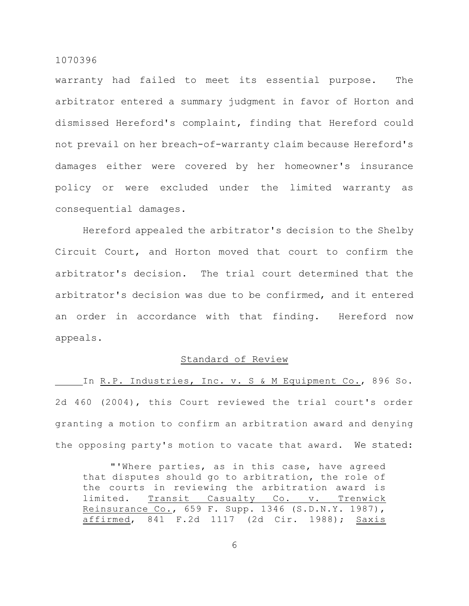warranty had failed to meet its essential purpose. The arbitrator entered a summary judgment in favor of Horton and dismissed Hereford's complaint, finding that Hereford could not prevail on her breach-of-warranty claim because Hereford's damages either were covered by her homeowner's insurance policy or were excluded under the limited warranty as consequential damages.

Hereford appealed the arbitrator's decision to the Shelby Circuit Court, and Horton moved that court to confirm the arbitrator's decision. The trial court determined that the arbitrator's decision was due to be confirmed, and it entered an order in accordance with that finding. Hereford now appeals.

# Standard of Review

In R.P. Industries, Inc. v. S & M Equipment Co., 896 So. 2d 460 (2004), this Court reviewed the trial court's order granting a motion to confirm an arbitration award and denying the opposing party's motion to vacate that award. We stated:

"'Where parties, as in this case, have agreed that disputes should go to arbitration, the role of the courts in reviewing the arbitration award is limited. Transit Casualty Co. v. Trenwick Reinsurance Co., 659 F. Supp. 1346 (S.D.N.Y. 1987), affirmed, 841 F.2d 1117 (2d Cir. 1988); Saxis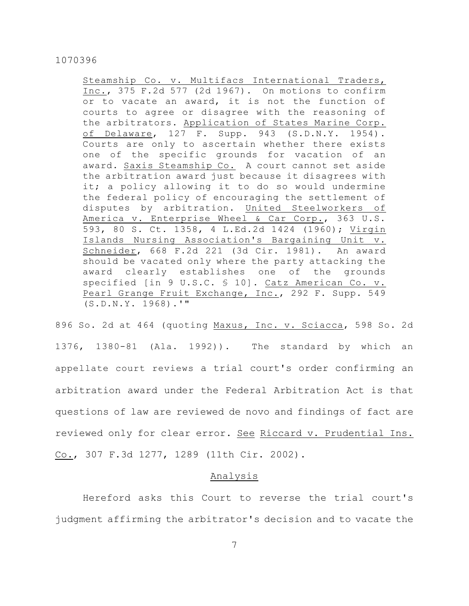Steamship Co. v. Multifacs International Traders, Inc., 375 F.2d 577 (2d 1967). On motions to confirm or to vacate an award, it is not the function of courts to agree or disagree with the reasoning of the arbitrators. Application of States Marine Corp. of Delaware, 127 F. Supp. 943 (S.D.N.Y. 1954). Courts are only to ascertain whether there exists one of the specific grounds for vacation of an award. Saxis Steamship Co. A court cannot set aside the arbitration award just because it disagrees with it; a policy allowing it to do so would undermine the federal policy of encouraging the settlement of disputes by arbitration. United Steelworkers of America v. Enterprise Wheel & Car Corp., 363 U.S. 593, 80 S. Ct. 1358, 4 L.Ed.2d 1424 (1960); Virgin Islands Nursing Association's Bargaining Unit v. Schneider, 668 F.2d 221 (3d Cir. 1981). An award should be vacated only where the party attacking the award clearly establishes one of the grounds specified [in 9 U.S.C. § 10]. Catz American Co. v. Pearl Grange Fruit Exchange, Inc., 292 F. Supp. 549 (S.D.N.Y. 1968).'"

896 So. 2d at 464 (quoting Maxus, Inc. v. Sciacca, 598 So. 2d 1376, 1380-81 (Ala. 1992)). The standard by which an appellate court reviews a trial court's order confirming an arbitration award under the Federal Arbitration Act is that questions of law are reviewed de novo and findings of fact are reviewed only for clear error. See Riccard v. Prudential Ins. Co., 307 F.3d 1277, 1289 (11th Cir. 2002).

## Analysis

Hereford asks this Court to reverse the trial court's judgment affirming the arbitrator's decision and to vacate the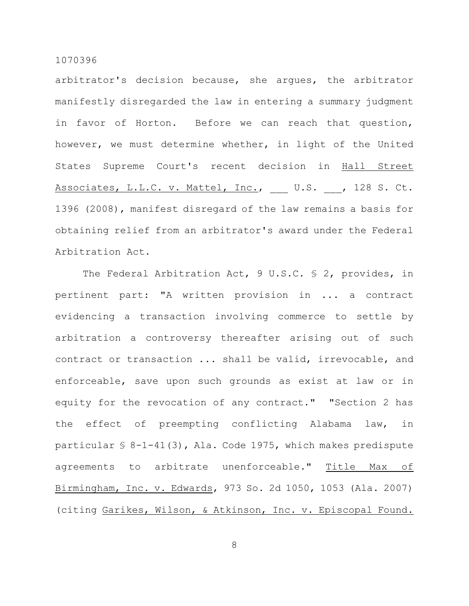arbitrator's decision because, she argues, the arbitrator manifestly disregarded the law in entering a summary judgment in favor of Horton. Before we can reach that question, however, we must determine whether, in light of the United States Supreme Court's recent decision in Hall Street Associates, L.L.C. v. Mattel, Inc., U.S. , 128 S. Ct. 1396 (2008), manifest disregard of the law remains a basis for obtaining relief from an arbitrator's award under the Federal Arbitration Act.

The Federal Arbitration Act, 9 U.S.C. § 2, provides, in pertinent part: "A written provision in ... a contract evidencing a transaction involving commerce to settle by arbitration a controversy thereafter arising out of such contract or transaction ... shall be valid, irrevocable, and enforceable, save upon such grounds as exist at law or in equity for the revocation of any contract." "Section 2 has the effect of preempting conflicting Alabama law, in particular § 8-1-41(3), Ala. Code 1975, which makes predispute agreements to arbitrate unenforceable." Title Max of Birmingham, Inc. v. Edwards, 973 So. 2d 1050, 1053 (Ala. 2007) (citing Garikes, Wilson, & Atkinson, Inc. v. Episcopal Found.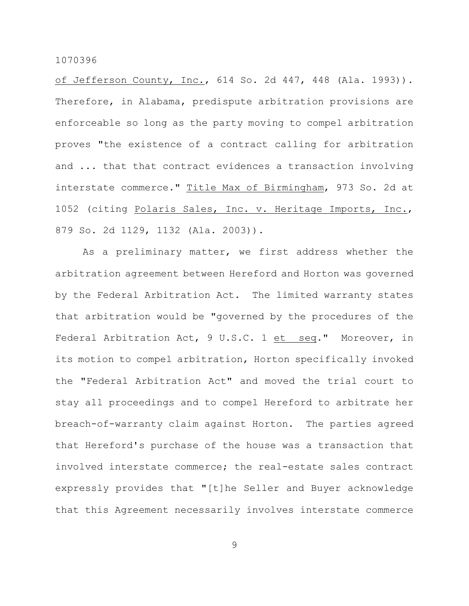of Jefferson County, Inc., 614 So. 2d 447, 448 (Ala. 1993)). Therefore, in Alabama, predispute arbitration provisions are enforceable so long as the party moving to compel arbitration proves "the existence of a contract calling for arbitration and ... that that contract evidences a transaction involving interstate commerce." Title Max of Birmingham, 973 So. 2d at 1052 (citing Polaris Sales, Inc. v. Heritage Imports, Inc., 879 So. 2d 1129, 1132 (Ala. 2003)).

As a preliminary matter, we first address whether the arbitration agreement between Hereford and Horton was governed by the Federal Arbitration Act. The limited warranty states that arbitration would be "governed by the procedures of the Federal Arbitration Act, 9 U.S.C. 1 et seq." Moreover, in its motion to compel arbitration, Horton specifically invoked the "Federal Arbitration Act" and moved the trial court to stay all proceedings and to compel Hereford to arbitrate her breach-of-warranty claim against Horton. The parties agreed that Hereford's purchase of the house was a transaction that involved interstate commerce; the real-estate sales contract expressly provides that "[t]he Seller and Buyer acknowledge that this Agreement necessarily involves interstate commerce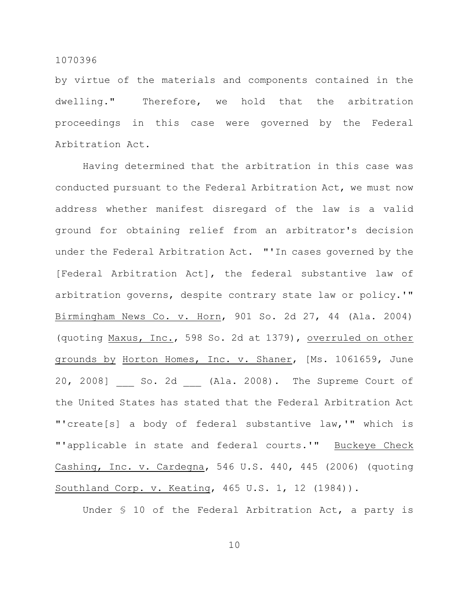by virtue of the materials and components contained in the dwelling." Therefore, we hold that the arbitration proceedings in this case were governed by the Federal Arbitration Act.

Having determined that the arbitration in this case was conducted pursuant to the Federal Arbitration Act, we must now address whether manifest disregard of the law is a valid ground for obtaining relief from an arbitrator's decision under the Federal Arbitration Act. "'In cases governed by the [Federal Arbitration Act], the federal substantive law of arbitration governs, despite contrary state law or policy.'" Birmingham News Co. v. Horn, 901 So. 2d 27, 44 (Ala. 2004) (quoting Maxus, Inc., 598 So. 2d at 1379), overruled on other grounds by Horton Homes, Inc. v. Shaner, [Ms. 1061659, June 20, 2008] So. 2d (Ala. 2008). The Supreme Court of the United States has stated that the Federal Arbitration Act "'create[s] a body of federal substantive law,'" which is "'applicable in state and federal courts.'" Buckeye Check Cashing, Inc. v. Cardegna, 546 U.S. 440, 445 (2006) (quoting Southland Corp. v. Keating, 465 U.S. 1, 12 (1984)).

Under § 10 of the Federal Arbitration Act, a party is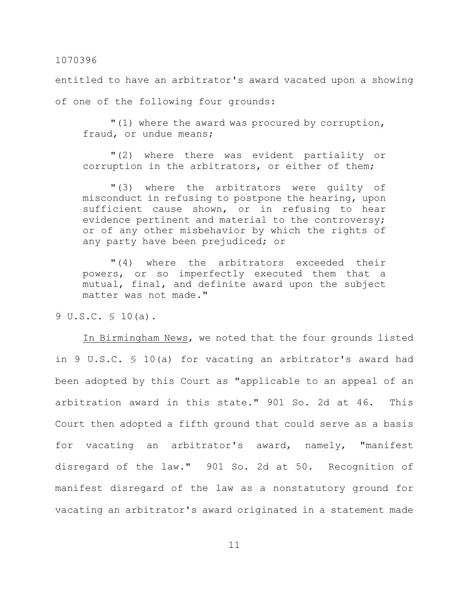entitled to have an arbitrator's award vacated upon a showing of one of the following four grounds:

"(1) where the award was procured by corruption, fraud, or undue means;

"(2) where there was evident partiality or corruption in the arbitrators, or either of them;

"(3) where the arbitrators were guilty of misconduct in refusing to postpone the hearing, upon sufficient cause shown, or in refusing to hear evidence pertinent and material to the controversy; or of any other misbehavior by which the rights of any party have been prejudiced; or

"(4) where the arbitrators exceeded their powers, or so imperfectly executed them that a mutual, final, and definite award upon the subject matter was not made."

9 U.S.C. § 10(a).

In Birmingham News, we noted that the four grounds listed in 9 U.S.C. § 10(a) for vacating an arbitrator's award had been adopted by this Court as "applicable to an appeal of an arbitration award in this state." 901 So. 2d at 46. This Court then adopted a fifth ground that could serve as a basis for vacating an arbitrator's award, namely, "manifest disregard of the law." 901 So. 2d at 50. Recognition of manifest disregard of the law as a nonstatutory ground for vacating an arbitrator's award originated in a statement made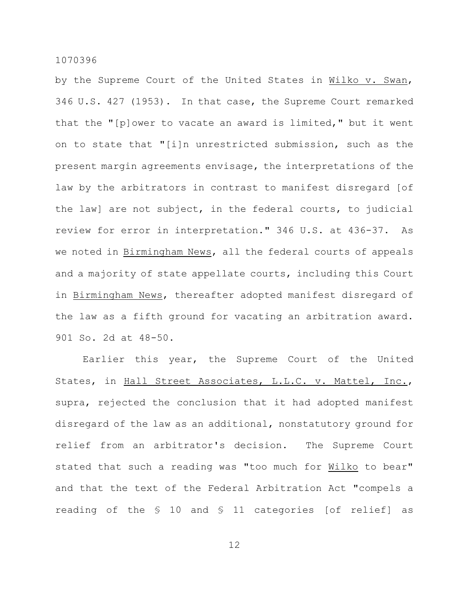by the Supreme Court of the United States in Wilko v. Swan, 346 U.S. 427 (1953). In that case, the Supreme Court remarked that the "[p]ower to vacate an award is limited," but it went on to state that "[i]n unrestricted submission, such as the present margin agreements envisage, the interpretations of the law by the arbitrators in contrast to manifest disregard [of the law] are not subject, in the federal courts, to judicial review for error in interpretation." 346 U.S. at 436-37. As we noted in Birmingham News, all the federal courts of appeals and a majority of state appellate courts, including this Court in Birmingham News, thereafter adopted manifest disregard of the law as a fifth ground for vacating an arbitration award. 901 So. 2d at 48-50.

Earlier this year, the Supreme Court of the United States, in Hall Street Associates, L.L.C. v. Mattel, Inc., supra, rejected the conclusion that it had adopted manifest disregard of the law as an additional, nonstatutory ground for relief from an arbitrator's decision. The Supreme Court stated that such a reading was "too much for Wilko to bear" and that the text of the Federal Arbitration Act "compels a reading of the § 10 and § 11 categories [of relief] as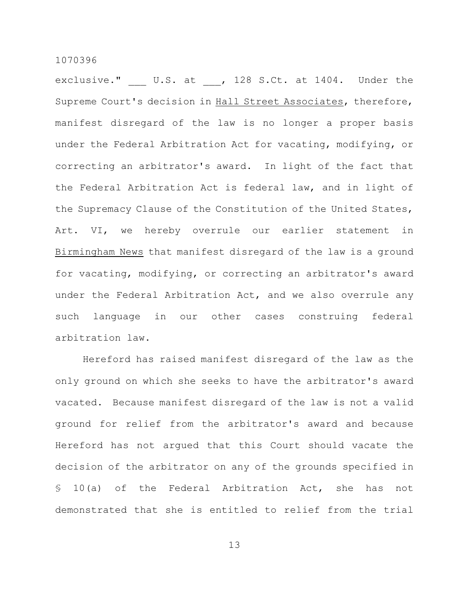exclusive." U.S. at , 128 S.Ct. at 1404. Under the Supreme Court's decision in Hall Street Associates, therefore, manifest disregard of the law is no longer a proper basis under the Federal Arbitration Act for vacating, modifying, or correcting an arbitrator's award. In light of the fact that the Federal Arbitration Act is federal law, and in light of the Supremacy Clause of the Constitution of the United States, Art. VI, we hereby overrule our earlier statement in Birmingham News that manifest disregard of the law is a ground for vacating, modifying, or correcting an arbitrator's award under the Federal Arbitration Act, and we also overrule any such language in our other cases construing federal arbitration law.

Hereford has raised manifest disregard of the law as the only ground on which she seeks to have the arbitrator's award vacated. Because manifest disregard of the law is not a valid ground for relief from the arbitrator's award and because Hereford has not argued that this Court should vacate the decision of the arbitrator on any of the grounds specified in § 10(a) of the Federal Arbitration Act, she has not demonstrated that she is entitled to relief from the trial